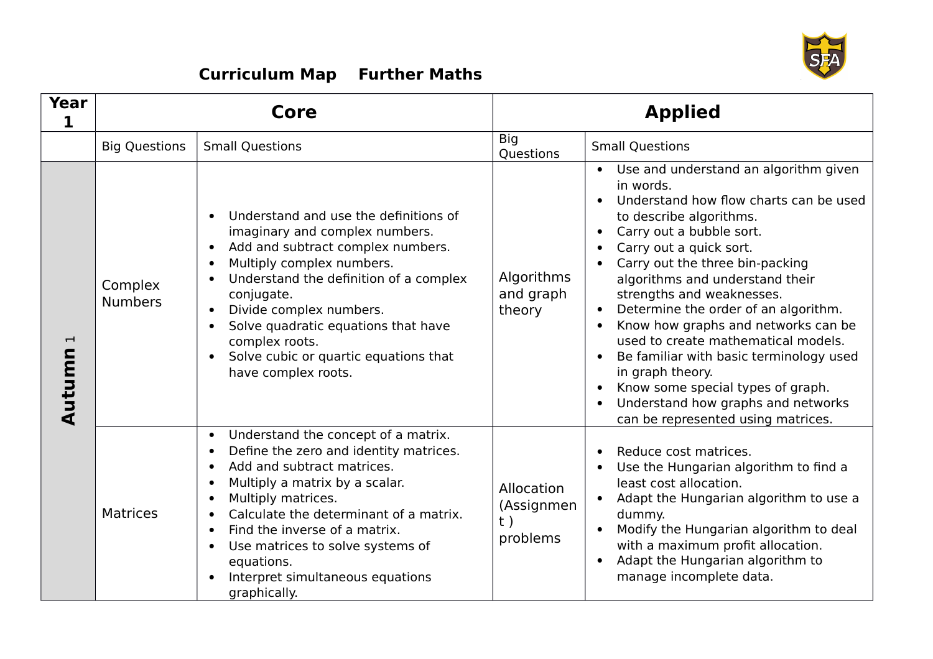

## **Curriculum Map Further Maths**

| <b>Year</b><br>1                   |                           | Core                                                                                                                                                                                                                                                                                                                                                                                                                                                                      |                                            | <b>Applied</b>                                                                                                                                                                                                                                                                                                                                                                                                                                                                                                                                                                                                                                                                                               |
|------------------------------------|---------------------------|---------------------------------------------------------------------------------------------------------------------------------------------------------------------------------------------------------------------------------------------------------------------------------------------------------------------------------------------------------------------------------------------------------------------------------------------------------------------------|--------------------------------------------|--------------------------------------------------------------------------------------------------------------------------------------------------------------------------------------------------------------------------------------------------------------------------------------------------------------------------------------------------------------------------------------------------------------------------------------------------------------------------------------------------------------------------------------------------------------------------------------------------------------------------------------------------------------------------------------------------------------|
|                                    | <b>Big Questions</b>      | <b>Small Questions</b>                                                                                                                                                                                                                                                                                                                                                                                                                                                    | <b>Big</b><br>Questions                    | <b>Small Questions</b>                                                                                                                                                                                                                                                                                                                                                                                                                                                                                                                                                                                                                                                                                       |
| $\overline{\phantom{0}}$<br>Autumn | Complex<br><b>Numbers</b> | Understand and use the definitions of<br>$\bullet$<br>imaginary and complex numbers.<br>Add and subtract complex numbers.<br>$\bullet$<br>Multiply complex numbers.<br>$\bullet$<br>Understand the definition of a complex<br>$\bullet$<br>conjugate.<br>Divide complex numbers.<br>$\bullet$<br>Solve quadratic equations that have<br>$\bullet$<br>complex roots.<br>Solve cubic or quartic equations that<br>have complex roots.                                       | Algorithms<br>and graph<br>theory          | Use and understand an algorithm given<br>$\bullet$<br>in words.<br>Understand how flow charts can be used<br>$\bullet$<br>to describe algorithms.<br>Carry out a bubble sort.<br>$\bullet$<br>Carry out a quick sort.<br>$\bullet$<br>Carry out the three bin-packing<br>algorithms and understand their<br>strengths and weaknesses.<br>Determine the order of an algorithm.<br>$\bullet$<br>Know how graphs and networks can be<br>$\bullet$<br>used to create mathematical models.<br>Be familiar with basic terminology used<br>$\bullet$<br>in graph theory.<br>Know some special types of graph.<br>$\bullet$<br>Understand how graphs and networks<br>$\bullet$<br>can be represented using matrices. |
|                                    | <b>Matrices</b>           | Understand the concept of a matrix.<br>$\bullet$<br>Define the zero and identity matrices.<br>$\bullet$<br>Add and subtract matrices.<br>$\bullet$<br>Multiply a matrix by a scalar.<br>$\bullet$<br>Multiply matrices.<br>$\bullet$<br>Calculate the determinant of a matrix.<br>$\bullet$<br>Find the inverse of a matrix.<br>$\bullet$<br>Use matrices to solve systems of<br>$\bullet$<br>equations.<br>Interpret simultaneous equations<br>$\bullet$<br>graphically. | Allocation<br>(Assignmen<br>t)<br>problems | Reduce cost matrices.<br>$\bullet$<br>Use the Hungarian algorithm to find a<br>least cost allocation.<br>Adapt the Hungarian algorithm to use a<br>$\bullet$<br>dummy.<br>Modify the Hungarian algorithm to deal<br>$\bullet$<br>with a maximum profit allocation.<br>Adapt the Hungarian algorithm to<br>$\bullet$<br>manage incomplete data.                                                                                                                                                                                                                                                                                                                                                               |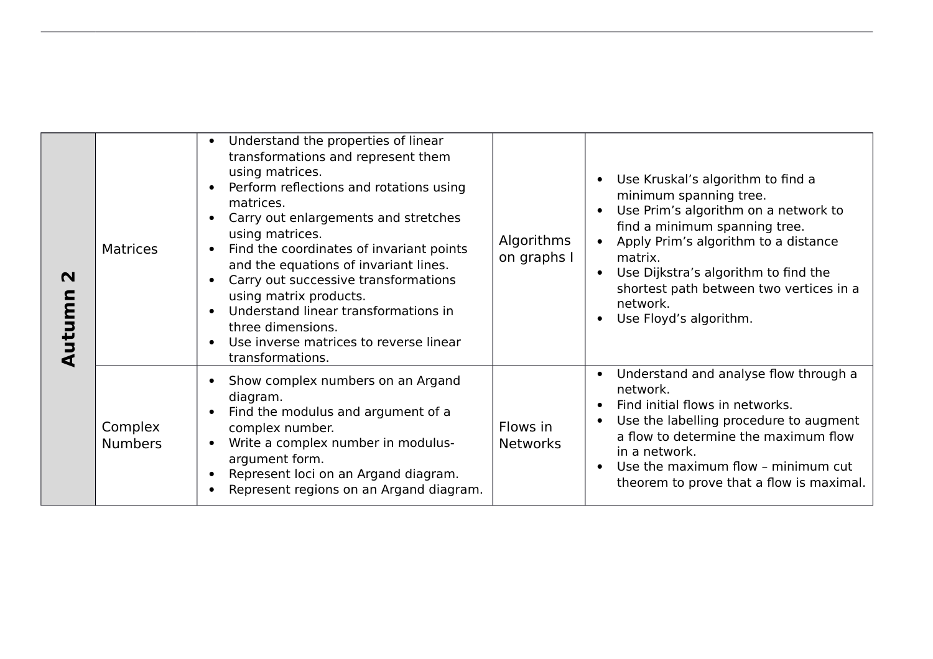| $\mathbf N$<br>Autumn | <b>Matrices</b>           | Understand the properties of linear<br>transformations and represent them<br>using matrices.<br>Perform reflections and rotations using<br>matrices.<br>Carry out enlargements and stretches<br>using matrices.<br>Find the coordinates of invariant points<br>and the equations of invariant lines.<br>Carry out successive transformations<br>using matrix products.<br>Understand linear transformations in<br>three dimensions.<br>Use inverse matrices to reverse linear<br>transformations. | Algorithms<br>on graphs I   | Use Kruskal's algorithm to find a<br>$\bullet$<br>minimum spanning tree.<br>Use Prim's algorithm on a network to<br>find a minimum spanning tree.<br>Apply Prim's algorithm to a distance<br>$\bullet$<br>matrix.<br>Use Dijkstra's algorithm to find the<br>$\bullet$<br>shortest path between two vertices in a<br>network.<br>Use Floyd's algorithm.<br>$\bullet$ |
|-----------------------|---------------------------|---------------------------------------------------------------------------------------------------------------------------------------------------------------------------------------------------------------------------------------------------------------------------------------------------------------------------------------------------------------------------------------------------------------------------------------------------------------------------------------------------|-----------------------------|----------------------------------------------------------------------------------------------------------------------------------------------------------------------------------------------------------------------------------------------------------------------------------------------------------------------------------------------------------------------|
|                       | Complex<br><b>Numbers</b> | Show complex numbers on an Argand<br>diagram.<br>Find the modulus and argument of a<br>complex number.<br>Write a complex number in modulus-<br>argument form.<br>Represent loci on an Argand diagram.<br>Represent regions on an Argand diagram.                                                                                                                                                                                                                                                 | Flows in<br><b>Networks</b> | Understand and analyse flow through a<br>network.<br>Find initial flows in networks.<br>Use the labelling procedure to augment<br>$\bullet$<br>a flow to determine the maximum flow<br>in a network.<br>Use the maximum flow - minimum cut<br>$\bullet$<br>theorem to prove that a flow is maximal.                                                                  |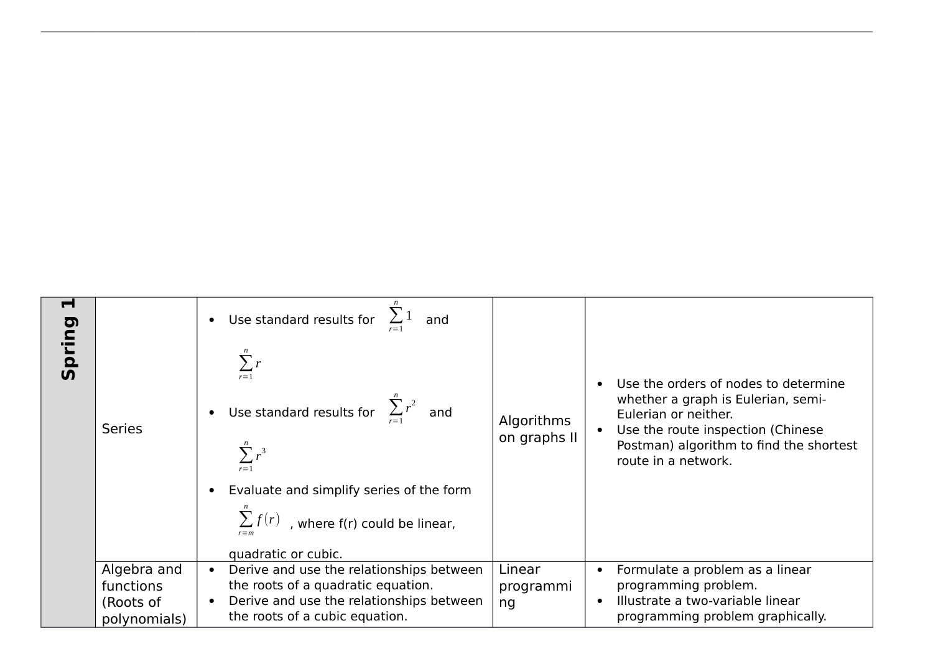| $\blacksquare$<br>Spring | <b>Series</b>                                         | • Use standard results for $\sum_{i=1}^{n} 1$ and<br>$\sum_{r=1}^{n} r$<br>• Use standard results for $\sum_{r=1}^{n} r^2$ and<br>$\sum r^3$<br>Evaluate and simplify series of the form<br>$\sum f(r)$ , where f(r) could be linear, | Algorithms<br>on graphs II | Use the orders of nodes to determine<br>whether a graph is Eulerian, semi-<br>Eulerian or neither.<br>Use the route inspection (Chinese<br>Postman) algorithm to find the shortest<br>route in a network. |
|--------------------------|-------------------------------------------------------|---------------------------------------------------------------------------------------------------------------------------------------------------------------------------------------------------------------------------------------|----------------------------|-----------------------------------------------------------------------------------------------------------------------------------------------------------------------------------------------------------|
|                          |                                                       | quadratic or cubic.                                                                                                                                                                                                                   |                            |                                                                                                                                                                                                           |
|                          | Algebra and<br>functions<br>(Roots of<br>polynomials) | Derive and use the relationships between<br>$\bullet$<br>the roots of a quadratic equation.<br>Derive and use the relationships between<br>the roots of a cubic equation.                                                             | Linear<br>programmi<br>ng  | Formulate a problem as a linear<br>programming problem.<br>Illustrate a two-variable linear<br>programming problem graphically.                                                                           |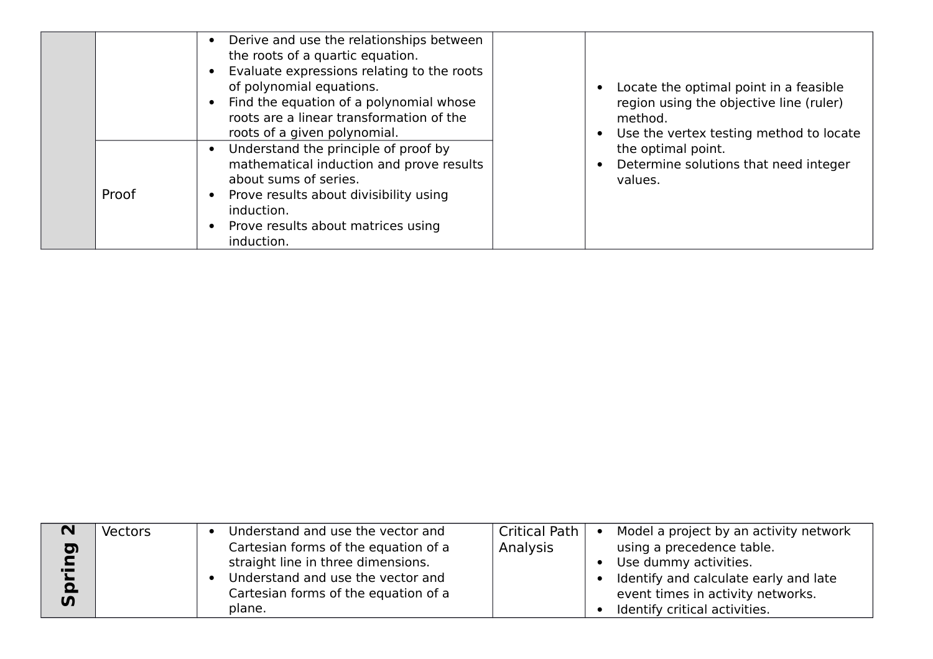|       | Derive and use the relationships between<br>the roots of a quartic equation.<br>Evaluate expressions relating to the roots<br>of polynomial equations.<br>Find the equation of a polynomial whose<br>roots are a linear transformation of the<br>roots of a given polynomial.<br>Understand the principle of proof by | Locate the optimal point in a feasible<br>region using the objective line (ruler)<br>method.<br>Use the vertex testing method to locate<br>$\bullet$ |
|-------|-----------------------------------------------------------------------------------------------------------------------------------------------------------------------------------------------------------------------------------------------------------------------------------------------------------------------|------------------------------------------------------------------------------------------------------------------------------------------------------|
| Proof | mathematical induction and prove results<br>about sums of series.<br>Prove results about divisibility using<br>induction.<br>Prove results about matrices using<br>induction.                                                                                                                                         | the optimal point.<br>Determine solutions that need integer<br>values.                                                                               |

| N                                           | <b>Vectors</b> | Understand and use the vector and                                                                                                                                 | <b>Critical Path</b> | Model a project by an activity network<br>$\bullet$                                                                                                               |
|---------------------------------------------|----------------|-------------------------------------------------------------------------------------------------------------------------------------------------------------------|----------------------|-------------------------------------------------------------------------------------------------------------------------------------------------------------------|
| D<br>$\overline{L}$<br>$\Omega$<br><b>S</b> |                | Cartesian forms of the equation of a<br>straight line in three dimensions.<br>Understand and use the vector and<br>Cartesian forms of the equation of a<br>plane. | Analysis             | using a precedence table.<br>Use dummy activities.<br>Identify and calculate early and late<br>event times in activity networks.<br>Identify critical activities. |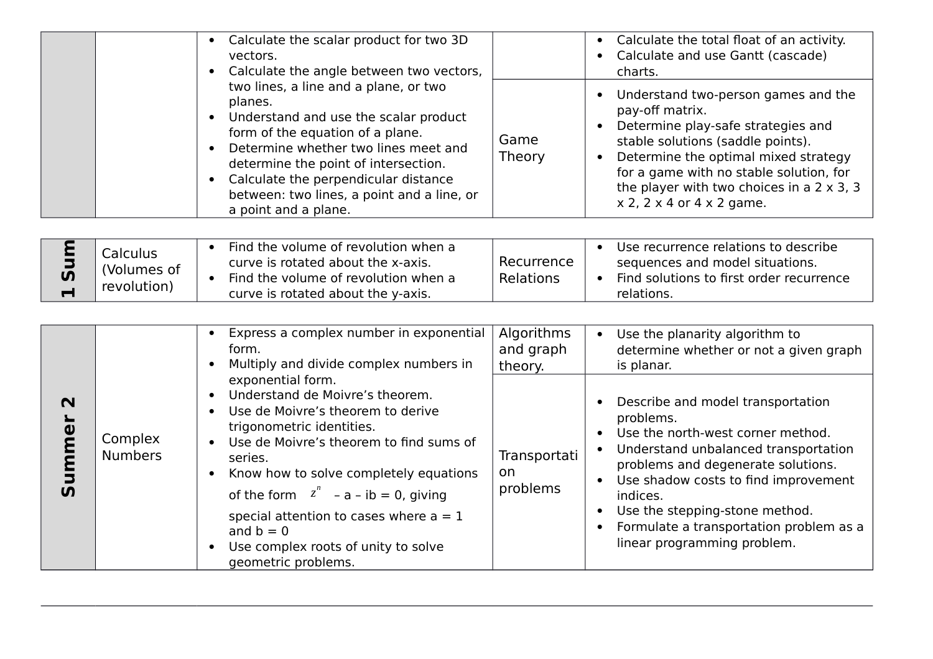|                                  |                                        | Calculate the scalar product for two 3D<br>$\bullet$<br>vectors.<br>Calculate the angle between two vectors,<br>$\bullet$                                                                                                                                                                                                                                                                                           |                                    | Calculate the total float of an activity.<br>Calculate and use Gantt (cascade)<br>charts.                                                                                                                                                                                                                                                                                             |
|----------------------------------|----------------------------------------|---------------------------------------------------------------------------------------------------------------------------------------------------------------------------------------------------------------------------------------------------------------------------------------------------------------------------------------------------------------------------------------------------------------------|------------------------------------|---------------------------------------------------------------------------------------------------------------------------------------------------------------------------------------------------------------------------------------------------------------------------------------------------------------------------------------------------------------------------------------|
|                                  |                                        | two lines, a line and a plane, or two<br>planes.<br>Understand and use the scalar product<br>$\bullet$<br>form of the equation of a plane.<br>Determine whether two lines meet and<br>$\bullet$<br>determine the point of intersection.<br>Calculate the perpendicular distance<br>$\bullet$<br>between: two lines, a point and a line, or<br>a point and a plane.                                                  | Game<br>Theory                     | Understand two-person games and the<br>$\bullet$<br>pay-off matrix.<br>Determine play-safe strategies and<br>stable solutions (saddle points).<br>Determine the optimal mixed strategy<br>$\bullet$<br>for a game with no stable solution, for<br>the player with two choices in a $2 \times 3$ , 3<br>$x$ 2, 2 $x$ 4 or 4 $x$ 2 game.                                                |
| mn<br><b>S</b><br>$\blacksquare$ | Calculus<br>(Volumes of<br>revolution) | Find the volume of revolution when a<br>curve is rotated about the x-axis.<br>Find the volume of revolution when a<br>$\bullet$<br>curve is rotated about the y-axis.                                                                                                                                                                                                                                               | Recurrence<br>Relations            | Use recurrence relations to describe<br>$\bullet$<br>sequences and model situations.<br>Find solutions to first order recurrence<br>$\bullet$<br>relations.                                                                                                                                                                                                                           |
|                                  |                                        | Express a complex number in exponential<br>$\bullet$<br>form.<br>Multiply and divide complex numbers in<br>$\bullet$                                                                                                                                                                                                                                                                                                | Algorithms<br>and graph<br>theory. | Use the planarity algorithm to<br>$\bullet$<br>determine whether or not a given graph<br>is planar.                                                                                                                                                                                                                                                                                   |
| $\mathbf N$<br>Summer            | Complex<br><b>Numbers</b>              | exponential form.<br>Understand de Moivre's theorem.<br>$\bullet$<br>Use de Moivre's theorem to derive<br>trigonometric identities.<br>Use de Moivre's theorem to find sums of<br>$\bullet$<br>series.<br>Know how to solve completely equations<br>of the form $z^n$ – a – ib = 0, giving<br>special attention to cases where $a = 1$<br>and $b = 0$<br>Use complex roots of unity to solve<br>geometric problems. | Transportati<br>on<br>problems     | Describe and model transportation<br>problems.<br>Use the north-west corner method.<br>$\bullet$<br>Understand unbalanced transportation<br>$\bullet$<br>problems and degenerate solutions.<br>Use shadow costs to find improvement<br>$\bullet$<br>indices.<br>Use the stepping-stone method.<br>Formulate a transportation problem as a<br>$\bullet$<br>linear programming problem. |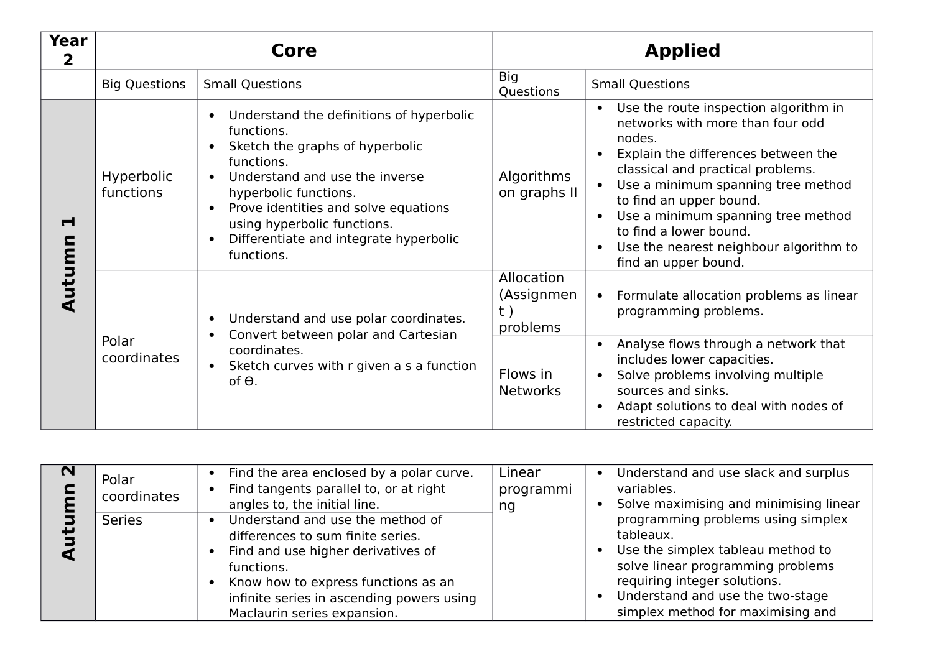| <b>Year</b><br>$\overline{\mathbf{2}}$ |                         | Core                                                                                                                                                                                                                                                                                                                                                  |                                            | <b>Applied</b>                                                                                                                                                                                                                                                                                                                                                                                            |
|----------------------------------------|-------------------------|-------------------------------------------------------------------------------------------------------------------------------------------------------------------------------------------------------------------------------------------------------------------------------------------------------------------------------------------------------|--------------------------------------------|-----------------------------------------------------------------------------------------------------------------------------------------------------------------------------------------------------------------------------------------------------------------------------------------------------------------------------------------------------------------------------------------------------------|
|                                        | <b>Big Questions</b>    | <b>Small Questions</b>                                                                                                                                                                                                                                                                                                                                | Big<br>Questions                           | <b>Small Questions</b>                                                                                                                                                                                                                                                                                                                                                                                    |
| ᆏ                                      | Hyperbolic<br>functions | Understand the definitions of hyperbolic<br>$\bullet$<br>functions.<br>Sketch the graphs of hyperbolic<br>$\bullet$<br>functions.<br>Understand and use the inverse<br>$\bullet$<br>hyperbolic functions.<br>Prove identities and solve equations<br>using hyperbolic functions.<br>Differentiate and integrate hyperbolic<br>$\bullet$<br>functions. | Algorithms<br>on graphs II                 | Use the route inspection algorithm in<br>$\bullet$<br>networks with more than four odd<br>nodes.<br>Explain the differences between the<br>classical and practical problems.<br>Use a minimum spanning tree method<br>to find an upper bound.<br>Use a minimum spanning tree method<br>$\bullet$<br>to find a lower bound.<br>Use the nearest neighbour algorithm to<br>$\bullet$<br>find an upper bound. |
| Autumn                                 | Polar<br>coordinates    | Understand and use polar coordinates.<br>$\bullet$<br>Convert between polar and Cartesian<br>$\bullet$<br>coordinates.<br>Sketch curves with r given a s a function<br>$\bullet$<br>of $\Theta$ .                                                                                                                                                     | Allocation<br>(Assignmen<br>t)<br>problems | Formulate allocation problems as linear<br>$\bullet$<br>programming problems.                                                                                                                                                                                                                                                                                                                             |
|                                        |                         |                                                                                                                                                                                                                                                                                                                                                       | Flows in<br><b>Networks</b>                | Analyse flows through a network that<br>$\bullet$<br>includes lower capacities.<br>Solve problems involving multiple<br>sources and sinks.<br>Adapt solutions to deal with nodes of<br>$\bullet$<br>restricted capacity.                                                                                                                                                                                  |

| $\sim$ | Polar<br>coordinates | Find the area enclosed by a polar curve.<br>Find tangents parallel to, or at right<br>$\bullet$<br>angles to, the initial line.                                                                                                              | Linear<br>programmi<br>ng | Understand and use slack and surplus<br>$\bullet$<br>variables.<br>• Solve maximising and minimising linear                                                                                                                                     |
|--------|----------------------|----------------------------------------------------------------------------------------------------------------------------------------------------------------------------------------------------------------------------------------------|---------------------------|-------------------------------------------------------------------------------------------------------------------------------------------------------------------------------------------------------------------------------------------------|
|        | <b>Series</b>        | Understand and use the method of<br>differences to sum finite series.<br>Find and use higher derivatives of<br>functions.<br>Know how to express functions as an<br>infinite series in ascending powers using<br>Maclaurin series expansion. |                           | programming problems using simplex<br>tableaux.<br>Use the simplex tableau method to<br>$\bullet$<br>solve linear programming problems<br>requiring integer solutions.<br>Understand and use the two-stage<br>simplex method for maximising and |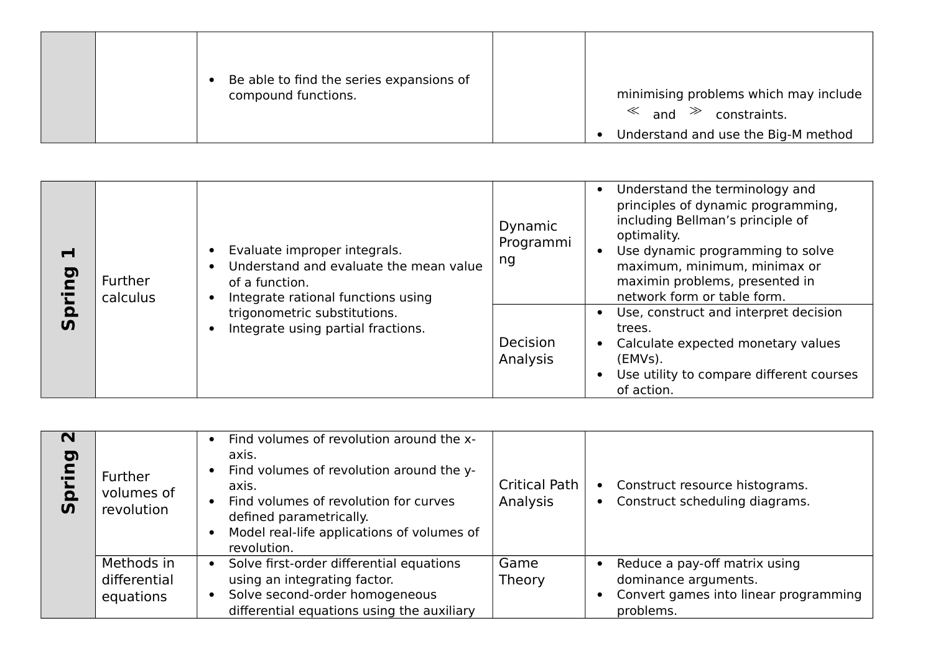|  | Be able to find the series expansions of<br>compound functions. | minimising problems which may include<br>$\ll$ and $\gg$ constraints. |
|--|-----------------------------------------------------------------|-----------------------------------------------------------------------|
|  |                                                                 | Understand and use the Big-M method                                   |

| Н<br>D<br>D          | Further<br>calculus | Evaluate improper integrals.<br>Understand and evaluate the mean value<br>of a function.<br>Integrate rational functions using | Dynamic<br>Programmi<br>ng | Understand the terminology and<br>principles of dynamic programming,<br>including Bellman's principle of<br>optimality.<br>Use dynamic programming to solve<br>maximum, minimum, minimax or<br>maximin problems, presented in<br>network form or table form. |
|----------------------|---------------------|--------------------------------------------------------------------------------------------------------------------------------|----------------------------|--------------------------------------------------------------------------------------------------------------------------------------------------------------------------------------------------------------------------------------------------------------|
| $\Omega$<br><u>ທ</u> |                     | trigonometric substitutions.<br>Integrate using partial fractions.                                                             | Decision<br>Analysis       | Use, construct and interpret decision<br>trees.<br>Calculate expected monetary values<br>(EMVs).<br>Use utility to compare different courses<br>of action.                                                                                                   |

| $\mathbf N$<br>pring<br>$\overline{u}$ | <b>Further</b><br>volumes of<br>revolution | Find volumes of revolution around the x-<br>axis.<br>Find volumes of revolution around the y-<br>axis.<br>Find volumes of revolution for curves<br>defined parametrically.<br>Model real-life applications of volumes of<br>revolution. | <b>Critical Path</b><br>Analysis | • Construct resource histograms.<br>Construct scheduling diagrams.<br>$\bullet$                             |
|----------------------------------------|--------------------------------------------|-----------------------------------------------------------------------------------------------------------------------------------------------------------------------------------------------------------------------------------------|----------------------------------|-------------------------------------------------------------------------------------------------------------|
|                                        | Methods in<br>differential<br>equations    | Solve first-order differential equations<br>using an integrating factor.<br>Solve second-order homogeneous<br>$\bullet$<br>differential equations using the auxiliary                                                                   | Game<br>Theory                   | Reduce a pay-off matrix using<br>dominance arguments.<br>Convert games into linear programming<br>problems. |